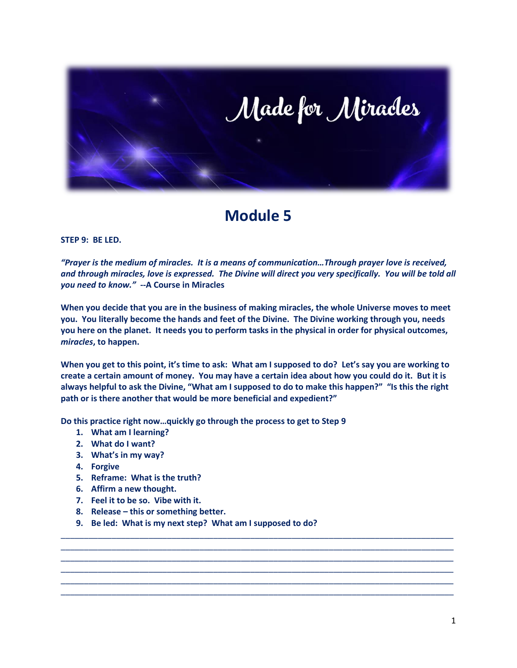

## **Module 5**

## **STEP 9: BE LED.**

*"Prayer is the medium of miracles. It is a means of communication…Through prayer love is received, and through miracles, love is expressed. The Divine will direct you very specifically. You will be told all you need to know."* **--A Course in Miracles**

**When you decide that you are in the business of making miracles, the whole Universe moves to meet you. You literally become the hands and feet of the Divine. The Divine working through you, needs you here on the planet. It needs you to perform tasks in the physical in order for physical outcomes,**  *miracles***, to happen.**

**When you get to this point, it's time to ask: What am I supposed to do? Let's say you are working to create a certain amount of money. You may have a certain idea about how you could do it. But it is always helpful to ask the Divine, "What am I supposed to do to make this happen?" "Is this the right path or is there another that would be more beneficial and expedient?"**

\_\_\_\_\_\_\_\_\_\_\_\_\_\_\_\_\_\_\_\_\_\_\_\_\_\_\_\_\_\_\_\_\_\_\_\_\_\_\_\_\_\_\_\_\_\_\_\_\_\_\_\_\_\_\_\_\_\_\_\_\_\_\_\_\_\_\_\_\_\_\_\_\_\_\_\_\_\_\_\_\_\_\_\_\_ \_\_\_\_\_\_\_\_\_\_\_\_\_\_\_\_\_\_\_\_\_\_\_\_\_\_\_\_\_\_\_\_\_\_\_\_\_\_\_\_\_\_\_\_\_\_\_\_\_\_\_\_\_\_\_\_\_\_\_\_\_\_\_\_\_\_\_\_\_\_\_\_\_\_\_\_\_\_\_\_\_\_\_\_\_ \_\_\_\_\_\_\_\_\_\_\_\_\_\_\_\_\_\_\_\_\_\_\_\_\_\_\_\_\_\_\_\_\_\_\_\_\_\_\_\_\_\_\_\_\_\_\_\_\_\_\_\_\_\_\_\_\_\_\_\_\_\_\_\_\_\_\_\_\_\_\_\_\_\_\_\_\_\_\_\_\_\_\_\_\_ \_\_\_\_\_\_\_\_\_\_\_\_\_\_\_\_\_\_\_\_\_\_\_\_\_\_\_\_\_\_\_\_\_\_\_\_\_\_\_\_\_\_\_\_\_\_\_\_\_\_\_\_\_\_\_\_\_\_\_\_\_\_\_\_\_\_\_\_\_\_\_\_\_\_\_\_\_\_\_\_\_\_\_\_\_ \_\_\_\_\_\_\_\_\_\_\_\_\_\_\_\_\_\_\_\_\_\_\_\_\_\_\_\_\_\_\_\_\_\_\_\_\_\_\_\_\_\_\_\_\_\_\_\_\_\_\_\_\_\_\_\_\_\_\_\_\_\_\_\_\_\_\_\_\_\_\_\_\_\_\_\_\_\_\_\_\_\_\_\_\_ \_\_\_\_\_\_\_\_\_\_\_\_\_\_\_\_\_\_\_\_\_\_\_\_\_\_\_\_\_\_\_\_\_\_\_\_\_\_\_\_\_\_\_\_\_\_\_\_\_\_\_\_\_\_\_\_\_\_\_\_\_\_\_\_\_\_\_\_\_\_\_\_\_\_\_\_\_\_\_\_\_\_\_\_\_

**Do this practice right now…quickly go through the process to get to Step 9**

- **1. What am I learning?**
- **2. What do I want?**
- **3. What's in my way?**
- **4. Forgive**
- **5. Reframe: What is the truth?**
- **6. Affirm a new thought.**
- **7. Feel it to be so. Vibe with it.**
- **8. Release – this or something better.**
- **9. Be led: What is my next step? What am I supposed to do?**